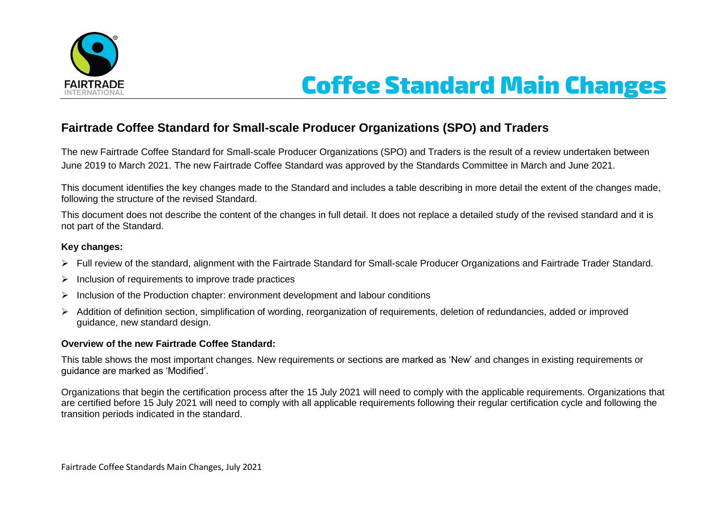

# **Coffee Standard Main Changes**

## **Fairtrade Coffee Standard for Small-scale Producer Organizations (SPO) and Traders**

The new Fairtrade Coffee Standard for Small-scale Producer Organizations (SPO) and Traders is the result of a review undertaken between June 2019 to March 2021. The new Fairtrade Coffee Standard was approved by the Standards Committee in March and June 2021.

This document identifies the key changes made to the Standard and includes a table describing in more detail the extent of the changes made, following the structure of the revised Standard.

This document does not describe the content of the changes in full detail. It does not replace a detailed study of the revised standard and it is not part of the Standard.

#### **Key changes:**

- Full review of the standard, alignment with the Fairtrade Standard for Small-scale Producer Organizations and Fairtrade Trader Standard.
- $\triangleright$  Inclusion of requirements to improve trade practices
- $\triangleright$  Inclusion of the Production chapter: environment development and labour conditions
- > Addition of definition section, simplification of wording, reorganization of requirements, deletion of redundancies, added or improved guidance, new standard design.

#### **Overview of the new Fairtrade Coffee Standard:**

This table shows the most important changes. New requirements or sections are marked as 'New' and changes in existing requirements or guidance are marked as 'Modified'.

Organizations that begin the certification process after the 15 July 2021 will need to comply with the applicable requirements. Organizations that are certified before 15 July 2021 will need to comply with all applicable requirements following their regular certification cycle and following the transition periods indicated in the standard.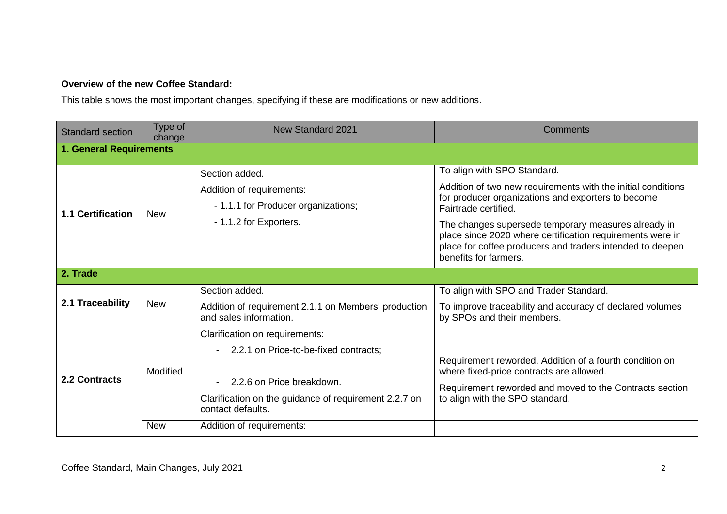### **Overview of the new Coffee Standard:**

This table shows the most important changes, specifying if these are modifications or new additions.

| <b>Standard section</b>        | Type of<br>change      | <b>New Standard 2021</b>                                                                                                                                                           | Comments                                                                                                                                                                                                                                                                                                                                                                            |  |  |  |  |
|--------------------------------|------------------------|------------------------------------------------------------------------------------------------------------------------------------------------------------------------------------|-------------------------------------------------------------------------------------------------------------------------------------------------------------------------------------------------------------------------------------------------------------------------------------------------------------------------------------------------------------------------------------|--|--|--|--|
| <b>1. General Requirements</b> |                        |                                                                                                                                                                                    |                                                                                                                                                                                                                                                                                                                                                                                     |  |  |  |  |
| <b>1.1 Certification</b>       | <b>New</b>             | Section added.<br>Addition of requirements:<br>- 1.1.1 for Producer organizations;<br>- 1.1.2 for Exporters.                                                                       | To align with SPO Standard.<br>Addition of two new requirements with the initial conditions<br>for producer organizations and exporters to become<br>Fairtrade certified.<br>The changes supersede temporary measures already in<br>place since 2020 where certification requirements were in<br>place for coffee producers and traders intended to deepen<br>benefits for farmers. |  |  |  |  |
| 2. Trade                       |                        |                                                                                                                                                                                    |                                                                                                                                                                                                                                                                                                                                                                                     |  |  |  |  |
| 2.1 Traceability               | <b>New</b>             | Section added.<br>Addition of requirement 2.1.1 on Members' production<br>and sales information.                                                                                   | To align with SPO and Trader Standard.<br>To improve traceability and accuracy of declared volumes<br>by SPOs and their members.                                                                                                                                                                                                                                                    |  |  |  |  |
| 2.2 Contracts                  | Modified<br><b>New</b> | Clarification on requirements:<br>2.2.1 on Price-to-be-fixed contracts;<br>2.2.6 on Price breakdown.<br>Clarification on the guidance of requirement 2.2.7 on<br>contact defaults. | Requirement reworded. Addition of a fourth condition on<br>where fixed-price contracts are allowed.<br>Requirement reworded and moved to the Contracts section<br>to align with the SPO standard.                                                                                                                                                                                   |  |  |  |  |
|                                |                        | Addition of requirements:                                                                                                                                                          |                                                                                                                                                                                                                                                                                                                                                                                     |  |  |  |  |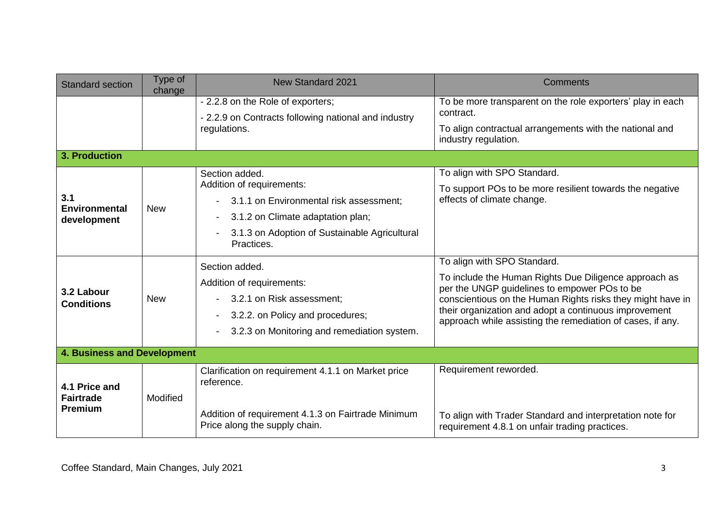| <b>Standard section</b>                             | Type of<br>change | <b>New Standard 2021</b>                                                                                                                                                                                       | <b>Comments</b>                                                                                                                                                                                                                                                                            |  |  |  |  |
|-----------------------------------------------------|-------------------|----------------------------------------------------------------------------------------------------------------------------------------------------------------------------------------------------------------|--------------------------------------------------------------------------------------------------------------------------------------------------------------------------------------------------------------------------------------------------------------------------------------------|--|--|--|--|
|                                                     |                   | - 2.2.8 on the Role of exporters;<br>- 2.2.9 on Contracts following national and industry<br>regulations.                                                                                                      | To be more transparent on the role exporters' play in each<br>contract.<br>To align contractual arrangements with the national and<br>industry regulation.                                                                                                                                 |  |  |  |  |
| 3. Production                                       |                   |                                                                                                                                                                                                                |                                                                                                                                                                                                                                                                                            |  |  |  |  |
| 3.1<br><b>Environmental</b><br>development          | <b>New</b>        | Section added.<br>Addition of requirements:<br>- 3.1.1 on Environmental risk assessment;<br>3.1.2 on Climate adaptation plan;<br>$\blacksquare$<br>3.1.3 on Adoption of Sustainable Agricultural<br>Practices. | To align with SPO Standard.<br>To support POs to be more resilient towards the negative<br>effects of climate change.<br>To align with SPO Standard.                                                                                                                                       |  |  |  |  |
| 3.2 Labour<br><b>Conditions</b>                     | <b>New</b>        | Section added.<br>Addition of requirements:<br>- 3.2.1 on Risk assessment;<br>3.2.2. on Policy and procedures;<br>$\blacksquare$<br>3.2.3 on Monitoring and remediation system.                                | To include the Human Rights Due Diligence approach as<br>per the UNGP guidelines to empower POs to be<br>conscientious on the Human Rights risks they might have in<br>their organization and adopt a continuous improvement<br>approach while assisting the remediation of cases, if any. |  |  |  |  |
| <b>4. Business and Development</b>                  |                   |                                                                                                                                                                                                                |                                                                                                                                                                                                                                                                                            |  |  |  |  |
| 4.1 Price and<br><b>Fairtrade</b><br><b>Premium</b> | Modified          | Clarification on requirement 4.1.1 on Market price<br>reference.<br>Addition of requirement 4.1.3 on Fairtrade Minimum<br>Price along the supply chain.                                                        | Requirement reworded.<br>To align with Trader Standard and interpretation note for<br>requirement 4.8.1 on unfair trading practices.                                                                                                                                                       |  |  |  |  |